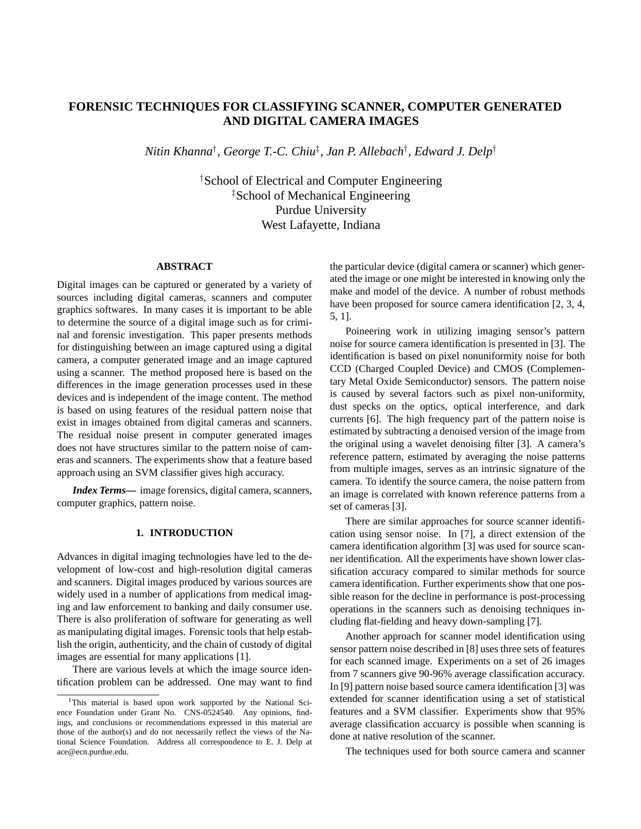# **FORENSIC TECHNIQUES FOR CLASSIFYING SCANNER, COMPUTER GENERATED AND DIGITAL CAMERA IMAGES**

*Nitin Khanna*† *, George T.-C. Chiu*‡ *, Jan P. Allebach*† *, Edward J. Delp*†

†School of Electrical and Computer Engineering ‡School of Mechanical Engineering Purdue University West Lafayette, Indiana

## **ABSTRACT**

Digital images can be captured or generated by a variety of sources including digital cameras, scanners and computer graphics softwares. In many cases it is important to be able to determine the source of a digital image such as for criminal and forensic investigation. This paper presents methods for distinguishing between an image captured using a digital camera, a computer generated image and an image captured using a scanner. The method proposed here is based on the differences in the image generation processes used in these devices and is independent of the image content. The method is based on using features of the residual pattern noise that exist in images obtained from digital cameras and scanners. The residual noise present in computer generated images does not have structures similar to the pattern noise of cameras and scanners. The experiments show that a feature based approach using an SVM classifier gives high accuracy.

*Index Terms***—** image forensics, digital camera, scanners, computer graphics, pattern noise.

#### **1. INTRODUCTION**

Advances in digital imaging technologies have led to the development of low-cost and high-resolution digital cameras and scanners. Digital images produced by various sources are widely used in a number of applications from medical imaging and law enforcement to banking and daily consumer use. There is also proliferation of software for generating as well as manipulating digital images. Forensic tools that help establish the origin, authenticity, and the chain of custody of digital images are essential for many applications [1].

There are various levels at which the image source identification problem can be addressed. One may want to find the particular device (digital camera or scanner) which generated the image or one might be interested in knowing only the make and model of the device. A number of robust methods have been proposed for source camera identification [2, 3, 4, 5, 1].

Poineering work in utilizing imaging sensor's pattern noise for source camera identification is presented in [3]. The identification is based on pixel nonuniformity noise for both CCD (Charged Coupled Device) and CMOS (Complementary Metal Oxide Semiconductor) sensors. The pattern noise is caused by several factors such as pixel non-uniformity, dust specks on the optics, optical interference, and dark currents [6]. The high frequency part of the pattern noise is estimated by subtracting a denoised version of the image from the original using a wavelet denoising filter [3]. A camera's reference pattern, estimated by averaging the noise patterns from multiple images, serves as an intrinsic signature of the camera. To identify the source camera, the noise pattern from an image is correlated with known reference patterns from a set of cameras [3].

There are similar approaches for source scanner identification using sensor noise. In [7], a direct extension of the camera identification algorithm [3] was used for source scanner identification. All the experiments have shown lower classification accuracy compared to similar methods for source camera identification. Further experiments show that one possible reason for the decline in performance is post-processing operations in the scanners such as denoising techniques including flat-fielding and heavy down-sampling [7].

Another approach for scanner model identification using sensor pattern noise described in [8] uses three sets of features for each scanned image. Experiments on a set of 26 images from 7 scanners give 90-96% average classification accuracy. In [9] pattern noise based source camera identification [3] was extended for scanner identification using a set of statistical features and a SVM classifier. Experiments show that 95% average classification accuarcy is possible when scanning is done at native resolution of the scanner.

The techniques used for both source camera and scanner

<sup>&</sup>lt;sup>1</sup>This material is based upon work supported by the National Science Foundation under Grant No. CNS-0524540. Any opinions, findings, and conclusions or recommendations expressed in this material are those of the author(s) and do not necessarily reflect the views of the National Science Foundation. Address all correspondence to E. J. Delp at ace@ecn.purdue.edu.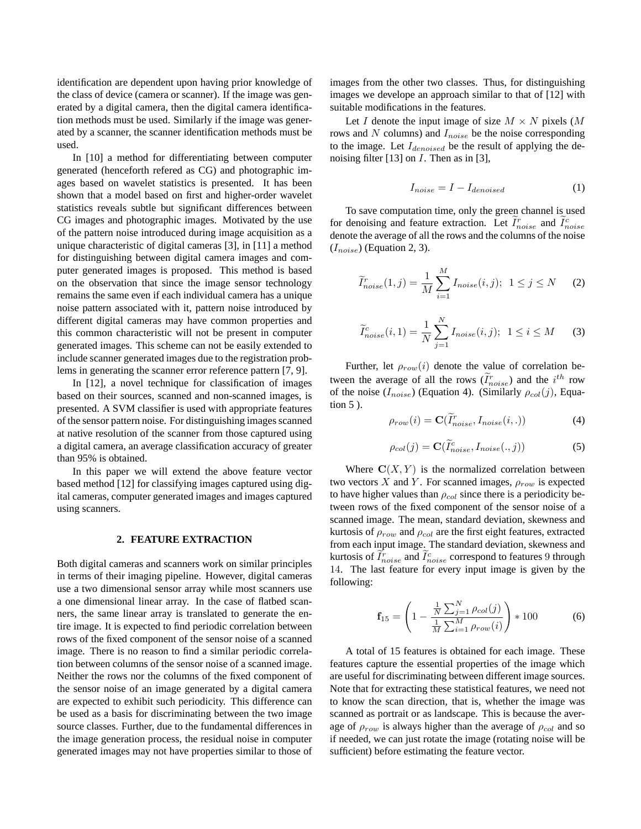identification are dependent upon having prior knowledge of the class of device (camera or scanner). If the image was generated by a digital camera, then the digital camera identification methods must be used. Similarly if the image was generated by a scanner, the scanner identification methods must be used.

In [10] a method for differentiating between computer generated (henceforth refered as CG) and photographic images based on wavelet statistics is presented. It has been shown that a model based on first and higher-order wavelet statistics reveals subtle but significant differences between CG images and photographic images. Motivated by the use of the pattern noise introduced during image acquisition as a unique characteristic of digital cameras [3], in [11] a method for distinguishing between digital camera images and computer generated images is proposed. This method is based on the observation that since the image sensor technology remains the same even if each individual camera has a unique noise pattern associated with it, pattern noise introduced by different digital cameras may have common properties and this common characteristic will not be present in computer generated images. This scheme can not be easily extended to include scanner generated images due to the registration problems in generating the scanner error reference pattern [7, 9].

In [12], a novel technique for classification of images based on their sources, scanned and non-scanned images, is presented. A SVM classifier is used with appropriate features of the sensor pattern noise. For distinguishing images scanned at native resolution of the scanner from those captured using a digital camera, an average classification accuracy of greater than 95% is obtained.

In this paper we will extend the above feature vector based method [12] for classifying images captured using digital cameras, computer generated images and images captured using scanners.

#### **2. FEATURE EXTRACTION**

Both digital cameras and scanners work on similar principles in terms of their imaging pipeline. However, digital cameras use a two dimensional sensor array while most scanners use a one dimensional linear array. In the case of flatbed scanners, the same linear array is translated to generate the entire image. It is expected to find periodic correlation between rows of the fixed component of the sensor noise of a scanned image. There is no reason to find a similar periodic correlation between columns of the sensor noise of a scanned image. Neither the rows nor the columns of the fixed component of the sensor noise of an image generated by a digital camera are expected to exhibit such periodicity. This difference can be used as a basis for discriminating between the two image source classes. Further, due to the fundamental differences in the image generation process, the residual noise in computer generated images may not have properties similar to those of

images from the other two classes. Thus, for distinguishing images we develope an approach similar to that of [12] with suitable modifications in the features.

Let I denote the input image of size  $M \times N$  pixels (M rows and  $N$  columns) and  $I_{noise}$  be the noise corresponding to the image. Let  $I_{denoised}$  be the result of applying the denoising filter [13] on  $I$ . Then as in [3],

$$
I_{noise} = I - I_{denoised} \tag{1}
$$

To save computation time, only the green channel is used for denoising and feature extraction. Let  $\tilde{I}^r_{noise}$  and  $\tilde{I}^c_{noise}$ denote the average of all the rows and the columns of the noise  $(I_{noise})$  (Equation 2, 3).

$$
\widetilde{I}^r_{noise}(1,j) = \frac{1}{M} \sum_{i=1}^{M} I_{noise}(i,j); \ 1 \le j \le N \tag{2}
$$

$$
\widetilde{I}_{noise}^c(i,1) = \frac{1}{N} \sum_{j=1}^{N} I_{noise}(i,j); \ \ 1 \le i \le M \tag{3}
$$

Further, let  $\rho_{row}(i)$  denote the value of correlation between the average of all the rows  $(\tilde{I}_{noise}^r)$  and the  $i^{th}$  row of the noise ( $I_{noise}$ ) (Equation 4). (Similarly  $\rho_{col}(j)$ , Equation 5 ).

$$
\rho_{row}(i) = \mathbf{C}(\widetilde{I}_{noise}^r, I_{noise}(i, .)) \tag{4}
$$

$$
\rho_{col}(j) = \mathbf{C}(\widetilde{I}_{noise}^c, I_{noise}(., j))
$$
\n(5)

Where  $C(X, Y)$  is the normalized correlation between two vectors X and Y. For scanned images,  $\rho_{row}$  is expected to have higher values than  $\rho_{col}$  since there is a periodicity between rows of the fixed component of the sensor noise of a scanned image. The mean, standard deviation, skewness and kurtosis of  $\rho_{row}$  and  $\rho_{col}$  are the first eight features, extracted from each input image. The standard deviation, skewness and kurtosis of  $\tilde{I}^r_{noise}$  and  $\tilde{I}^c_{noise}$  correspond to features 9 through 14. The last feature for every input image is given by the following:

$$
\mathbf{f}_{15} = \left(1 - \frac{\frac{1}{N} \sum_{j=1}^{N} \rho_{col}(j)}{\frac{1}{M} \sum_{i=1}^{M} \rho_{row}(i)}\right) * 100
$$
 (6)

A total of 15 features is obtained for each image. These features capture the essential properties of the image which are useful for discriminating between different image sources. Note that for extracting these statistical features, we need not to know the scan direction, that is, whether the image was scanned as portrait or as landscape. This is because the average of  $\rho_{row}$  is always higher than the average of  $\rho_{col}$  and so if needed, we can just rotate the image (rotating noise will be sufficient) before estimating the feature vector.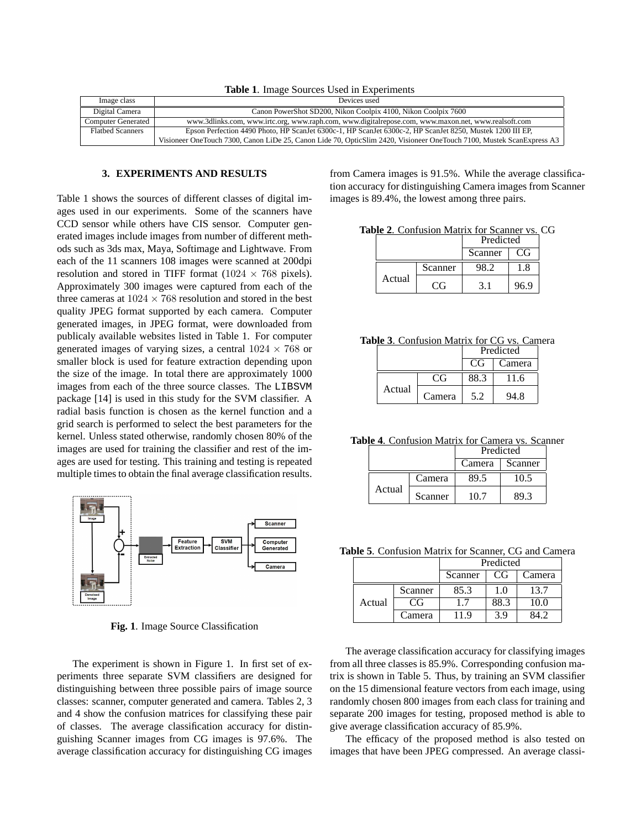| Image class             | Devices used                                                                                                          |  |  |  |
|-------------------------|-----------------------------------------------------------------------------------------------------------------------|--|--|--|
| Digital Camera          | Canon PowerShot SD200, Nikon Coolpix 4100, Nikon Coolpix 7600                                                         |  |  |  |
| Computer Generated      | www.3dlinks.com, www.irtc.org, www.raph.com, www.digitalrepose.com, www.maxon.net, www.realsoft.com                   |  |  |  |
| <b>Flathed Scanners</b> | Epson Perfection 4490 Photo, HP ScanJet 6300c-1, HP ScanJet 6300c-2, HP ScanJet 8250, Mustek 1200 III EP,             |  |  |  |
|                         | Visioneer OneTouch 7300, Canon LiDe 25, Canon Lide 70, OpticSlim 2420, Visioneer OneTouch 7100, Mustek ScanExpress A3 |  |  |  |

#### **Table 1**. Image Sources Used in Experiments

#### **3. EXPERIMENTS AND RESULTS**

Table 1 shows the sources of different classes of digital images used in our experiments. Some of the scanners have CCD sensor while others have CIS sensor. Computer generated images include images from number of different methods such as 3ds max, Maya, Softimage and Lightwave. From each of the 11 scanners 108 images were scanned at 200dpi resolution and stored in TIFF format ( $1024 \times 768$  pixels). Approximately 300 images were captured from each of the three cameras at  $1024 \times 768$  resolution and stored in the best quality JPEG format supported by each camera. Computer generated images, in JPEG format, were downloaded from publicaly available websites listed in Table 1. For computer generated images of varying sizes, a central  $1024 \times 768$  or smaller block is used for feature extraction depending upon the size of the image. In total there are approximately 1000 images from each of the three source classes. The LIBSVM package [14] is used in this study for the SVM classifier. A radial basis function is chosen as the kernel function and a grid search is performed to select the best parameters for the kernel. Unless stated otherwise, randomly chosen 80% of the images are used for training the classifier and rest of the images are used for testing. This training and testing is repeated multiple times to obtain the final average classification results.



**Fig. 1**. Image Source Classification

The experiment is shown in Figure 1. In first set of experiments three separate SVM classifiers are designed for distinguishing between three possible pairs of image source classes: scanner, computer generated and camera. Tables 2, 3 and 4 show the confusion matrices for classifying these pair of classes. The average classification accuracy for distinguishing Scanner images from CG images is 97.6%. The average classification accuracy for distinguishing CG images from Camera images is 91.5%. While the average classification accuracy for distinguishing Camera images from Scanner images is 89.4%, the lowest among three pairs.

**Table 2**. Confusion Matrix for Scanner vs. CG

|        |         | Predicted |      |  |
|--------|---------|-----------|------|--|
|        |         | Scanner   | CG   |  |
|        | Scanner | 98 2      | 18   |  |
| Actual | CG      | 31        | 96.9 |  |

|  | <b>Table 3.</b> Confusion Matrix for CG vs. Camera |  |  |
|--|----------------------------------------------------|--|--|
|  |                                                    |  |  |

|        |        | Predicted |        |  |
|--------|--------|-----------|--------|--|
|        |        | CG        | Camera |  |
|        | CG     | 88.3      | 11.6   |  |
| Actual | Camera | 5.2       | 94.8   |  |

**Table 4**. Confusion Matrix for Camera vs. Scanner

|        |         | Predicted |                  |  |
|--------|---------|-----------|------------------|--|
|        |         |           | Camera   Scanner |  |
|        | Camera  | 89.5      |                  |  |
| Actual | Scanner | 10 7      |                  |  |

**Table 5**. Confusion Matrix for Scanner, CG and Camera

|        |         | Predicted |      |        |
|--------|---------|-----------|------|--------|
|        |         | Scanner   | CG   | Camera |
| Actual | Scanner | 85.3      | 1.0  | 13.7   |
|        | CG      | I 7       | 88.3 | 10.0   |
|        | Camera  | 11 Q      | 3.9  |        |

The average classification accuracy for classifying images from all three classes is 85.9%. Corresponding confusion matrix is shown in Table 5. Thus, by training an SVM classifier on the 15 dimensional feature vectors from each image, using randomly chosen 800 images from each class for training and separate 200 images for testing, proposed method is able to give average classification accuracy of 85.9%.

The efficacy of the proposed method is also tested on images that have been JPEG compressed. An average classi